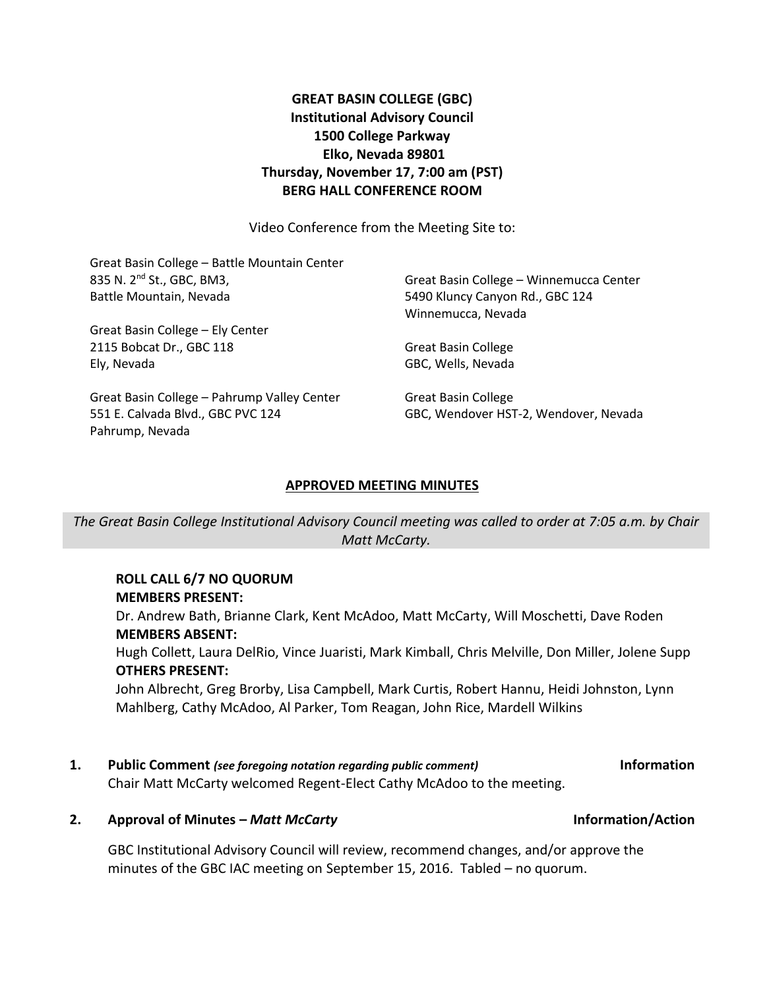# **GREAT BASIN COLLEGE (GBC) Institutional Advisory Council 1500 College Parkway Elko, Nevada 89801 Thursday, November 17, 7:00 am (PST) BERG HALL CONFERENCE ROOM**

Video Conference from the Meeting Site to:

| Great Basin College - Battle Mountain Center |                                         |
|----------------------------------------------|-----------------------------------------|
| 835 N. 2 <sup>nd</sup> St., GBC, BM3,        | Great Basin College - Winnemucca Center |
| Battle Mountain, Nevada                      | 5490 Kluncy Canyon Rd., GBC 124         |
|                                              | Winnemucca, Nevada                      |
| Great Basin College - Ely Center             |                                         |
| 2115 Bobcat Dr., GBC 118                     | <b>Great Basin College</b>              |
| Ely, Nevada                                  | GBC, Wells, Nevada                      |
| Great Basin College - Pahrump Valley Center  | <b>Great Basin College</b>              |
| 551 E. Calvada Blvd., GBC PVC 124            | GBC, Wendover HST-2, Wendover, Nevada   |
| Pahrump, Nevada                              |                                         |

# **APPROVED MEETING MINUTES**

*The Great Basin College Institutional Advisory Council meeting was called to order at 7:05 a.m. by Chair Matt McCarty.*

### **ROLL CALL 6/7 NO QUORUM MEMBERS PRESENT:**

Dr. Andrew Bath, Brianne Clark, Kent McAdoo, Matt McCarty, Will Moschetti, Dave Roden **MEMBERS ABSENT:**

Hugh Collett, Laura DelRio, Vince Juaristi, Mark Kimball, Chris Melville, Don Miller, Jolene Supp **OTHERS PRESENT:**

John Albrecht, Greg Brorby, Lisa Campbell, Mark Curtis, Robert Hannu, Heidi Johnston, Lynn Mahlberg, Cathy McAdoo, Al Parker, Tom Reagan, John Rice, Mardell Wilkins

# **1. Public Comment** *(see foregoing notation regarding public comment)* **Information**

Chair Matt McCarty welcomed Regent-Elect Cathy McAdoo to the meeting.

# **2. Approval of Minutes –** *Matt McCarty* **Information/Action**

GBC Institutional Advisory Council will review, recommend changes, and/or approve the minutes of the GBC IAC meeting on September 15, 2016. Tabled – no quorum.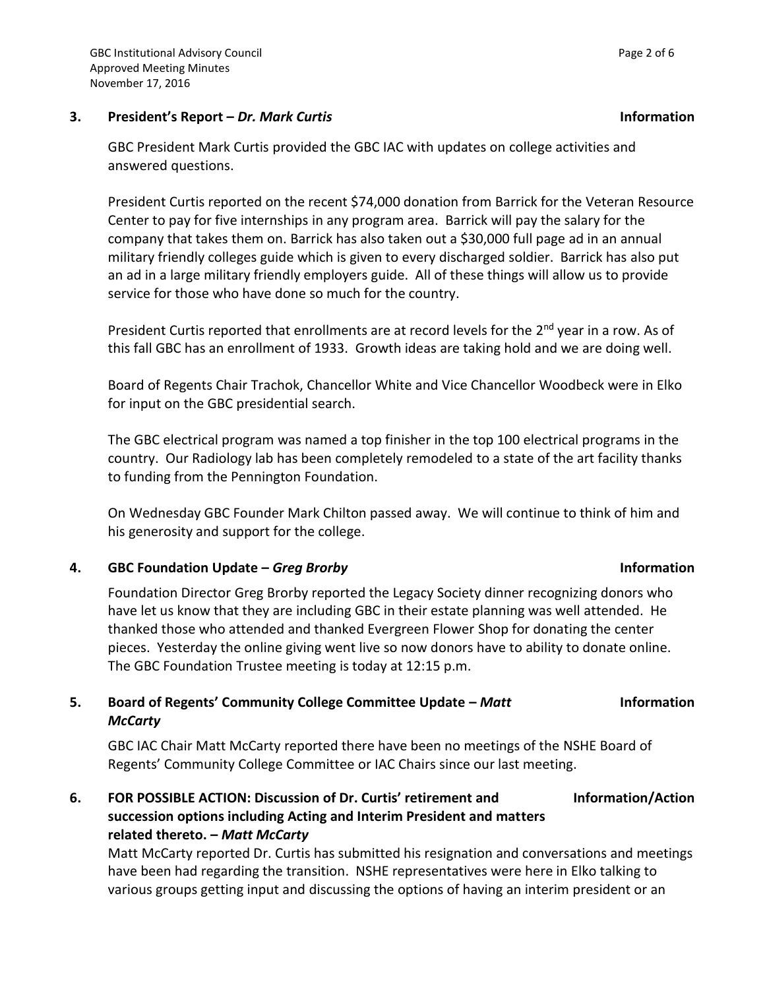# **3. President's Report –** *Dr. Mark Curtis* **Information**

GBC President Mark Curtis provided the GBC IAC with updates on college activities and answered questions.

President Curtis reported on the recent \$74,000 donation from Barrick for the Veteran Resource Center to pay for five internships in any program area. Barrick will pay the salary for the company that takes them on. Barrick has also taken out a \$30,000 full page ad in an annual military friendly colleges guide which is given to every discharged soldier. Barrick has also put an ad in a large military friendly employers guide. All of these things will allow us to provide service for those who have done so much for the country.

President Curtis reported that enrollments are at record levels for the 2<sup>nd</sup> year in a row. As of this fall GBC has an enrollment of 1933. Growth ideas are taking hold and we are doing well.

Board of Regents Chair Trachok, Chancellor White and Vice Chancellor Woodbeck were in Elko for input on the GBC presidential search.

The GBC electrical program was named a top finisher in the top 100 electrical programs in the country. Our Radiology lab has been completely remodeled to a state of the art facility thanks to funding from the Pennington Foundation.

On Wednesday GBC Founder Mark Chilton passed away. We will continue to think of him and his generosity and support for the college.

# **4. GBC Foundation Update –** *Greg Brorby* **Information**

Foundation Director Greg Brorby reported the Legacy Society dinner recognizing donors who have let us know that they are including GBC in their estate planning was well attended. He thanked those who attended and thanked Evergreen Flower Shop for donating the center pieces. Yesterday the online giving went live so now donors have to ability to donate online. The GBC Foundation Trustee meeting is today at 12:15 p.m.

### **5. Board of Regents' Community College Committee Update –** *Matt McCarty* **Information**

GBC IAC Chair Matt McCarty reported there have been no meetings of the NSHE Board of Regents' Community College Committee or IAC Chairs since our last meeting.

**6. FOR POSSIBLE ACTION: Discussion of Dr. Curtis' retirement and succession options including Acting and Interim President and matters related thereto. –** *Matt McCarty* **Information/Action**

Matt McCarty reported Dr. Curtis has submitted his resignation and conversations and meetings have been had regarding the transition. NSHE representatives were here in Elko talking to various groups getting input and discussing the options of having an interim president or an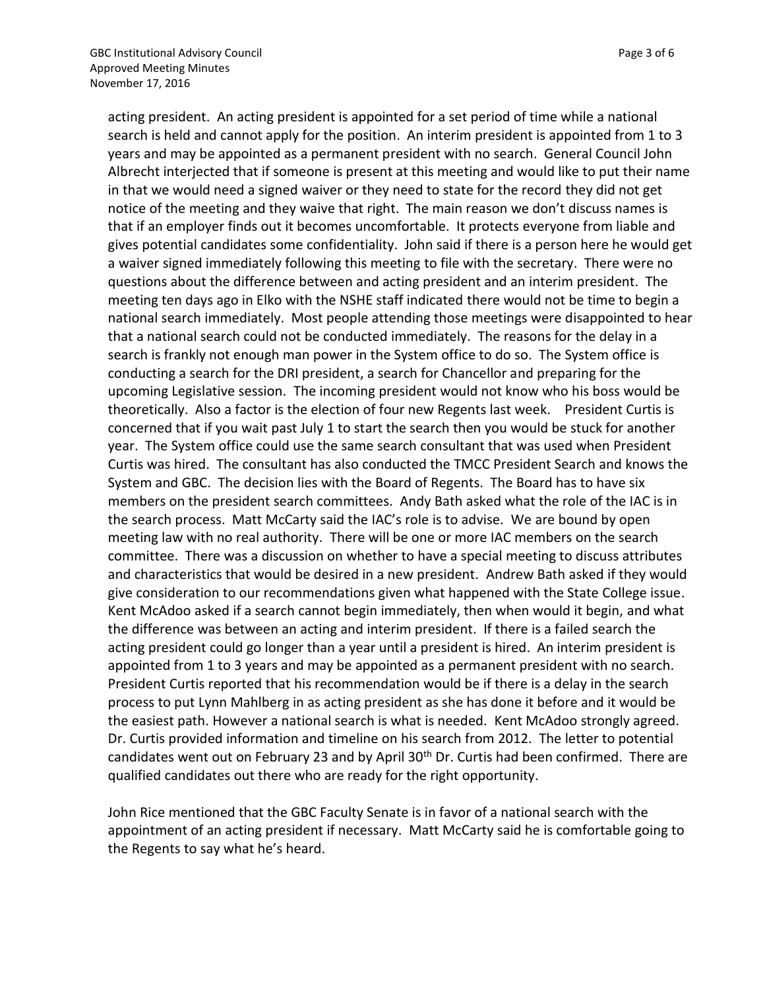acting president. An acting president is appointed for a set period of time while a national search is held and cannot apply for the position. An interim president is appointed from 1 to 3 years and may be appointed as a permanent president with no search. General Council John Albrecht interjected that if someone is present at this meeting and would like to put their name in that we would need a signed waiver or they need to state for the record they did not get notice of the meeting and they waive that right. The main reason we don't discuss names is that if an employer finds out it becomes uncomfortable. It protects everyone from liable and gives potential candidates some confidentiality. John said if there is a person here he would get a waiver signed immediately following this meeting to file with the secretary. There were no questions about the difference between and acting president and an interim president. The meeting ten days ago in Elko with the NSHE staff indicated there would not be time to begin a national search immediately. Most people attending those meetings were disappointed to hear that a national search could not be conducted immediately. The reasons for the delay in a search is frankly not enough man power in the System office to do so. The System office is conducting a search for the DRI president, a search for Chancellor and preparing for the upcoming Legislative session. The incoming president would not know who his boss would be theoretically. Also a factor is the election of four new Regents last week. President Curtis is concerned that if you wait past July 1 to start the search then you would be stuck for another year. The System office could use the same search consultant that was used when President Curtis was hired. The consultant has also conducted the TMCC President Search and knows the System and GBC. The decision lies with the Board of Regents. The Board has to have six members on the president search committees. Andy Bath asked what the role of the IAC is in the search process. Matt McCarty said the IAC's role is to advise. We are bound by open meeting law with no real authority. There will be one or more IAC members on the search committee. There was a discussion on whether to have a special meeting to discuss attributes and characteristics that would be desired in a new president. Andrew Bath asked if they would give consideration to our recommendations given what happened with the State College issue. Kent McAdoo asked if a search cannot begin immediately, then when would it begin, and what the difference was between an acting and interim president. If there is a failed search the acting president could go longer than a year until a president is hired. An interim president is appointed from 1 to 3 years and may be appointed as a permanent president with no search. President Curtis reported that his recommendation would be if there is a delay in the search process to put Lynn Mahlberg in as acting president as she has done it before and it would be the easiest path. However a national search is what is needed. Kent McAdoo strongly agreed. Dr. Curtis provided information and timeline on his search from 2012. The letter to potential candidates went out on February 23 and by April 30<sup>th</sup> Dr. Curtis had been confirmed. There are qualified candidates out there who are ready for the right opportunity.

John Rice mentioned that the GBC Faculty Senate is in favor of a national search with the appointment of an acting president if necessary. Matt McCarty said he is comfortable going to the Regents to say what he's heard.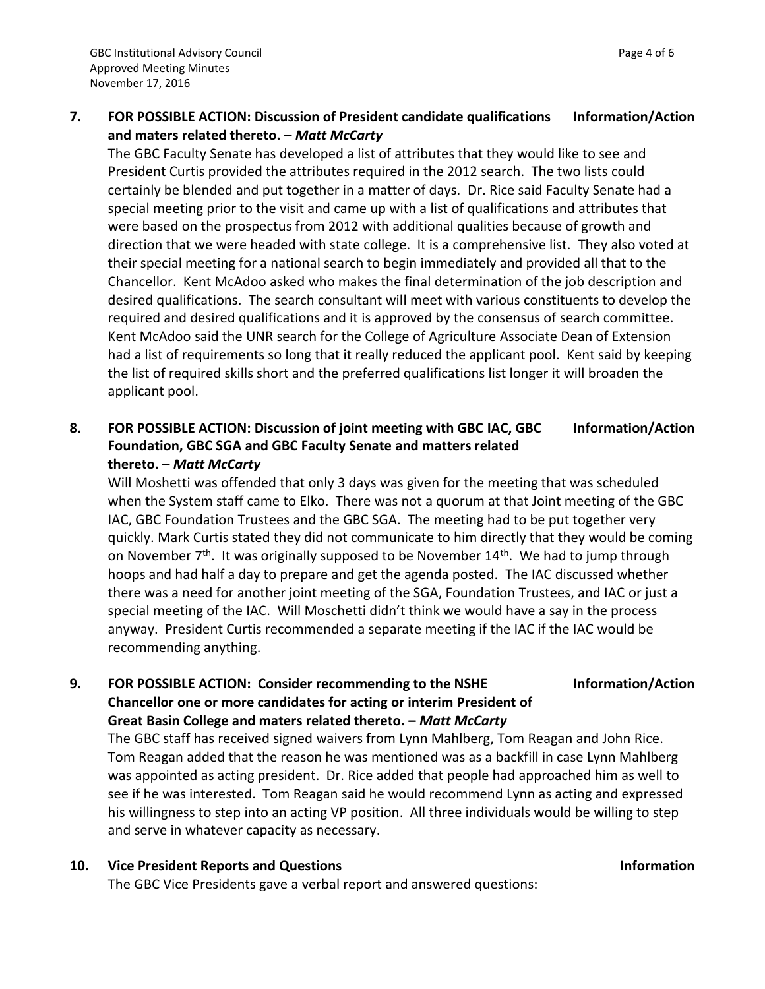**7. FOR POSSIBLE ACTION: Discussion of President candidate qualifications and maters related thereto. –** *Matt McCarty* **Information/Action**

The GBC Faculty Senate has developed a list of attributes that they would like to see and President Curtis provided the attributes required in the 2012 search. The two lists could certainly be blended and put together in a matter of days. Dr. Rice said Faculty Senate had a special meeting prior to the visit and came up with a list of qualifications and attributes that were based on the prospectus from 2012 with additional qualities because of growth and direction that we were headed with state college. It is a comprehensive list. They also voted at their special meeting for a national search to begin immediately and provided all that to the Chancellor. Kent McAdoo asked who makes the final determination of the job description and desired qualifications. The search consultant will meet with various constituents to develop the required and desired qualifications and it is approved by the consensus of search committee. Kent McAdoo said the UNR search for the College of Agriculture Associate Dean of Extension had a list of requirements so long that it really reduced the applicant pool. Kent said by keeping the list of required skills short and the preferred qualifications list longer it will broaden the applicant pool.

### **8. FOR POSSIBLE ACTION: Discussion of joint meeting with GBC IAC, GBC Foundation, GBC SGA and GBC Faculty Senate and matters related thereto. –** *Matt McCarty* **Information/Action**

Will Moshetti was offended that only 3 days was given for the meeting that was scheduled when the System staff came to Elko. There was not a quorum at that Joint meeting of the GBC IAC, GBC Foundation Trustees and the GBC SGA. The meeting had to be put together very quickly. Mark Curtis stated they did not communicate to him directly that they would be coming on November  $7<sup>th</sup>$ . It was originally supposed to be November  $14<sup>th</sup>$ . We had to jump through hoops and had half a day to prepare and get the agenda posted. The IAC discussed whether there was a need for another joint meeting of the SGA, Foundation Trustees, and IAC or just a special meeting of the IAC. Will Moschetti didn't think we would have a say in the process anyway. President Curtis recommended a separate meeting if the IAC if the IAC would be recommending anything.

# **9. FOR POSSIBLE ACTION: Consider recommending to the NSHE Chancellor one or more candidates for acting or interim President of Great Basin College and maters related thereto. –** *Matt McCarty*

The GBC staff has received signed waivers from Lynn Mahlberg, Tom Reagan and John Rice. Tom Reagan added that the reason he was mentioned was as a backfill in case Lynn Mahlberg was appointed as acting president. Dr. Rice added that people had approached him as well to see if he was interested. Tom Reagan said he would recommend Lynn as acting and expressed his willingness to step into an acting VP position. All three individuals would be willing to step and serve in whatever capacity as necessary.

# **10. Vice President Reports and Questions Information**

The GBC Vice Presidents gave a verbal report and answered questions:

**Information/Action**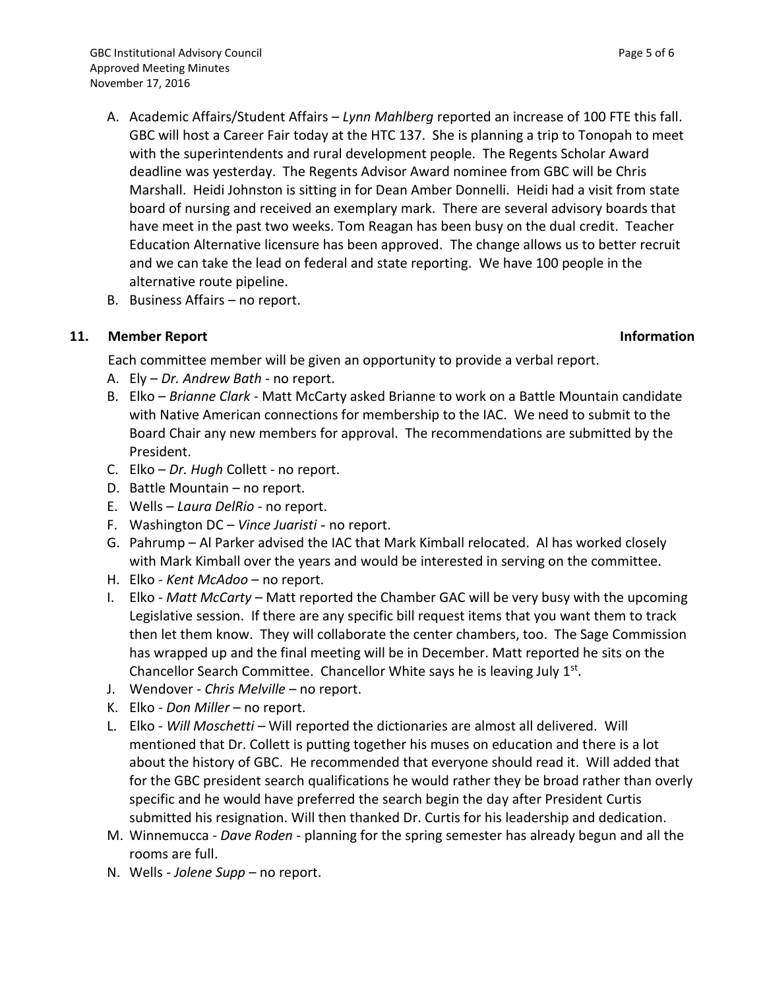- A. Academic Affairs/Student Affairs *Lynn Mahlberg* reported an increase of 100 FTE this fall. GBC will host a Career Fair today at the HTC 137. She is planning a trip to Tonopah to meet with the superintendents and rural development people. The Regents Scholar Award deadline was yesterday. The Regents Advisor Award nominee from GBC will be Chris Marshall. Heidi Johnston is sitting in for Dean Amber Donnelli. Heidi had a visit from state board of nursing and received an exemplary mark. There are several advisory boards that have meet in the past two weeks. Tom Reagan has been busy on the dual credit. Teacher Education Alternative licensure has been approved. The change allows us to better recruit and we can take the lead on federal and state reporting. We have 100 people in the alternative route pipeline.
- B. Business Affairs no report.

# **11. Member Report Information**

Each committee member will be given an opportunity to provide a verbal report.

- A. Ely *Dr. Andrew Bath*  no report.
- B. Elko *Brianne Clark -* Matt McCarty asked Brianne to work on a Battle Mountain candidate with Native American connections for membership to the IAC. We need to submit to the Board Chair any new members for approval. The recommendations are submitted by the President.
- C. Elko *Dr. Hugh* Collett no report.
- D. Battle Mountain no report.
- E. Wells *Laura DelRio*  no report.
- F. Washington DC *Vince Juaristi*  no report.
- G. Pahrump Al Parker advised the IAC that Mark Kimball relocated. Al has worked closely with Mark Kimball over the years and would be interested in serving on the committee.
- H. Elko *Kent McAdoo* no report.
- I. Elko *Matt McCarty* Matt reported the Chamber GAC will be very busy with the upcoming Legislative session. If there are any specific bill request items that you want them to track then let them know. They will collaborate the center chambers, too. The Sage Commission has wrapped up and the final meeting will be in December. Matt reported he sits on the Chancellor Search Committee. Chancellor White says he is leaving July 1<sup>st</sup>.
- J. Wendover *Chris Melville* no report.
- K. Elko *Don Miller* no report.
- L. Elko *Will Moschetti –* Will reported the dictionaries are almost all delivered. Will mentioned that Dr. Collett is putting together his muses on education and there is a lot about the history of GBC. He recommended that everyone should read it. Will added that for the GBC president search qualifications he would rather they be broad rather than overly specific and he would have preferred the search begin the day after President Curtis submitted his resignation. Will then thanked Dr. Curtis for his leadership and dedication.
- M. Winnemucca *Dave Roden* planning for the spring semester has already begun and all the rooms are full.
- N. Wells *Jolene Supp* no report.